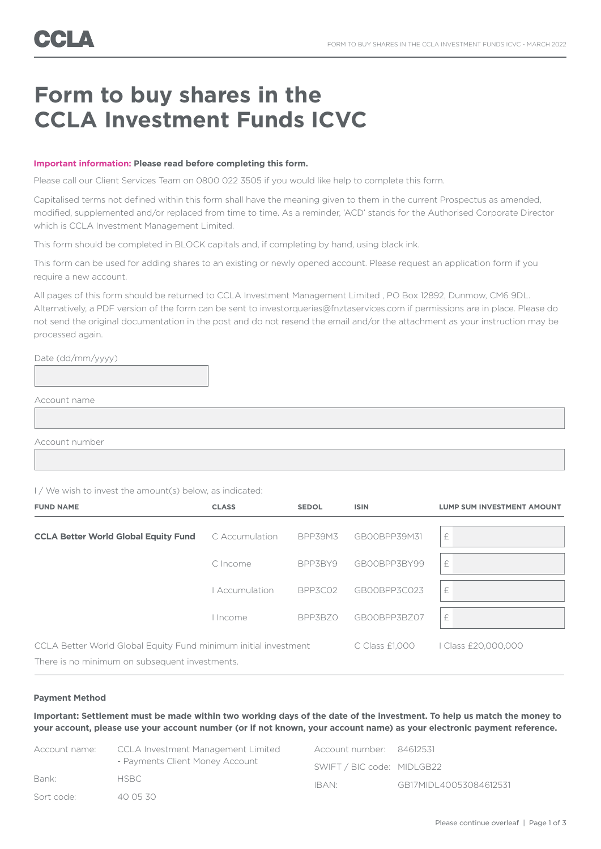# **Form to buy shares in the CCLA Investment Funds ICVC**

## **Important information: Please read before completing this form.**

Please call our Client Services Team on 0800 022 3505 if you would like help to complete this form.

Capitalised terms not defined within this form shall have the meaning given to them in the current Prospectus as amended, modified, supplemented and/or replaced from time to time. As a reminder, 'ACD' stands for the Authorised Corporate Director which is CCLA Investment Management Limited.

This form should be completed in BLOCK capitals and, if completing by hand, using black ink.

This form can be used for adding shares to an existing or newly opened account. Please request an application form if you require a new account.

All pages of this form should be returned to CCLA Investment Management Limited , PO Box 12892, Dunmow, CM6 9DL. Alternatively, a PDF version of the form can be sent to investorqueries@fnztaservices.com if permissions are in place. Please do not send the original documentation in the post and do not resend the email and/or the attachment as your instruction may be processed again.

Date (dd/mm/yyyy)

Account name

Account number

I / We wish to invest the amount(s) below, as indicated:

| <b>FUND NAME</b>                                                | <b>CLASS</b>   | <b>SEDOL</b>   | <b>ISIN</b>      | <b>LUMP SUM INVESTMENT AMOUNT</b> |  |
|-----------------------------------------------------------------|----------------|----------------|------------------|-----------------------------------|--|
| <b>CCLA Better World Global Equity Fund</b>                     | C Accumulation | <b>BPP39M3</b> | GB00BPP39M31     | £                                 |  |
|                                                                 | C Income       | BPP3BY9        | GB00BPP3BY99     | £                                 |  |
|                                                                 | Accumulation   | BPP3C02        | GB00BPP3C023     | £                                 |  |
|                                                                 | I Income       | BPP3BZ0        | GB00BPP3BZ07     | £                                 |  |
| CCLA Better World Global Equity Fund minimum initial investment |                |                | $C$ Class £1,000 | I Class £20,000,000               |  |
| There is no minimum on subsequent investments.                  |                |                |                  |                                   |  |

#### **Payment Method**

**Important: Settlement must be made within two working days of the date of the investment. To help us match the money to your account, please use your account number (or if not known, your account name) as your electronic payment reference.**

| Account name: | CCLA Investment Management Limited | Account number: 84612531   |                        |  |
|---------------|------------------------------------|----------------------------|------------------------|--|
|               | - Payments Client Money Account    | SWIFT / BIC code: MIDLGB22 |                        |  |
| Bank:         | <b>HSBC</b>                        | IBAN <sup>.</sup>          | GB17MIDL40053084612531 |  |
| Sort code:    | 40 05 30                           |                            |                        |  |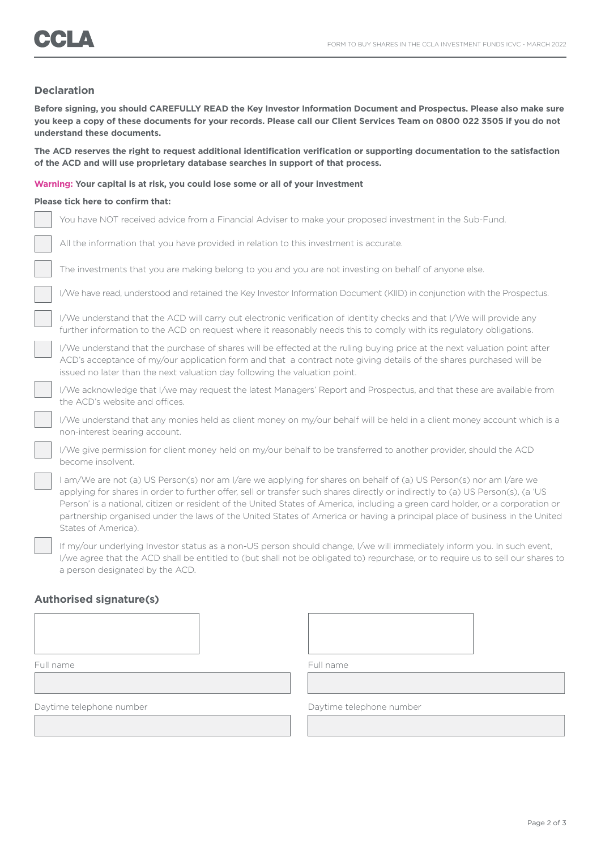## **Declaration**

**Before signing, you should CAREFULLY READ the Key Investor Information Document and Prospectus. Please also make sure you keep a copy of these documents for your records. Please call our Client Services Team on 0800 022 3505 if you do not understand these documents.**

**The ACD reserves the right to request additional identification verification or supporting documentation to the satisfaction of the ACD and will use proprietary database searches in support of that process.**

#### **Warning: Your capital is at risk, you could lose some or all of your investment**

### **Please tick here to confirm that:**

| You have NOT received advice from a Financial Adviser to make your proposed investment in the Sub-Fund.                                                                                                                                                                                                                                                                                                                                                                                                                                     |
|---------------------------------------------------------------------------------------------------------------------------------------------------------------------------------------------------------------------------------------------------------------------------------------------------------------------------------------------------------------------------------------------------------------------------------------------------------------------------------------------------------------------------------------------|
| All the information that you have provided in relation to this investment is accurate.                                                                                                                                                                                                                                                                                                                                                                                                                                                      |
| The investments that you are making belong to you and you are not investing on behalf of anyone else.                                                                                                                                                                                                                                                                                                                                                                                                                                       |
| I/We have read, understood and retained the Key Investor Information Document (KIID) in conjunction with the Prospectus.                                                                                                                                                                                                                                                                                                                                                                                                                    |
| I/We understand that the ACD will carry out electronic verification of identity checks and that I/We will provide any<br>further information to the ACD on request where it reasonably needs this to comply with its regulatory obligations.                                                                                                                                                                                                                                                                                                |
| I/We understand that the purchase of shares will be effected at the ruling buying price at the next valuation point after<br>ACD's acceptance of my/our application form and that a contract note giving details of the shares purchased will be<br>issued no later than the next valuation day following the valuation point.                                                                                                                                                                                                              |
| I/We acknowledge that I/we may request the latest Managers' Report and Prospectus, and that these are available from<br>the ACD's website and offices.                                                                                                                                                                                                                                                                                                                                                                                      |
| I/We understand that any monies held as client money on my/our behalf will be held in a client money account which is a<br>non-interest bearing account.                                                                                                                                                                                                                                                                                                                                                                                    |
| I/We give permission for client money held on my/our behalf to be transferred to another provider, should the ACD<br>become insolvent.                                                                                                                                                                                                                                                                                                                                                                                                      |
| I am/We are not (a) US Person(s) nor am I/are we applying for shares on behalf of (a) US Person(s) nor am I/are we<br>applying for shares in order to further offer, sell or transfer such shares directly or indirectly to (a) US Person(s), (a 'US<br>Person' is a national, citizen or resident of the United States of America, including a green card holder, or a corporation or<br>partnership organised under the laws of the United States of America or having a principal place of business in the United<br>States of America). |
| If my/our underlying Investor status as a non-US person should change, I/we will immediately inform you. In such event,                                                                                                                                                                                                                                                                                                                                                                                                                     |

I/we agree that the ACD shall be entitled to (but shall not be obligated to) repurchase, or to require us to sell our shares to a person designated by the ACD.

# **Authorised signature(s)**

| Full name                |  | Full name                |  |  |
|--------------------------|--|--------------------------|--|--|
|                          |  |                          |  |  |
| Daytime telephone number |  | Daytime telephone number |  |  |
|                          |  |                          |  |  |
|                          |  |                          |  |  |